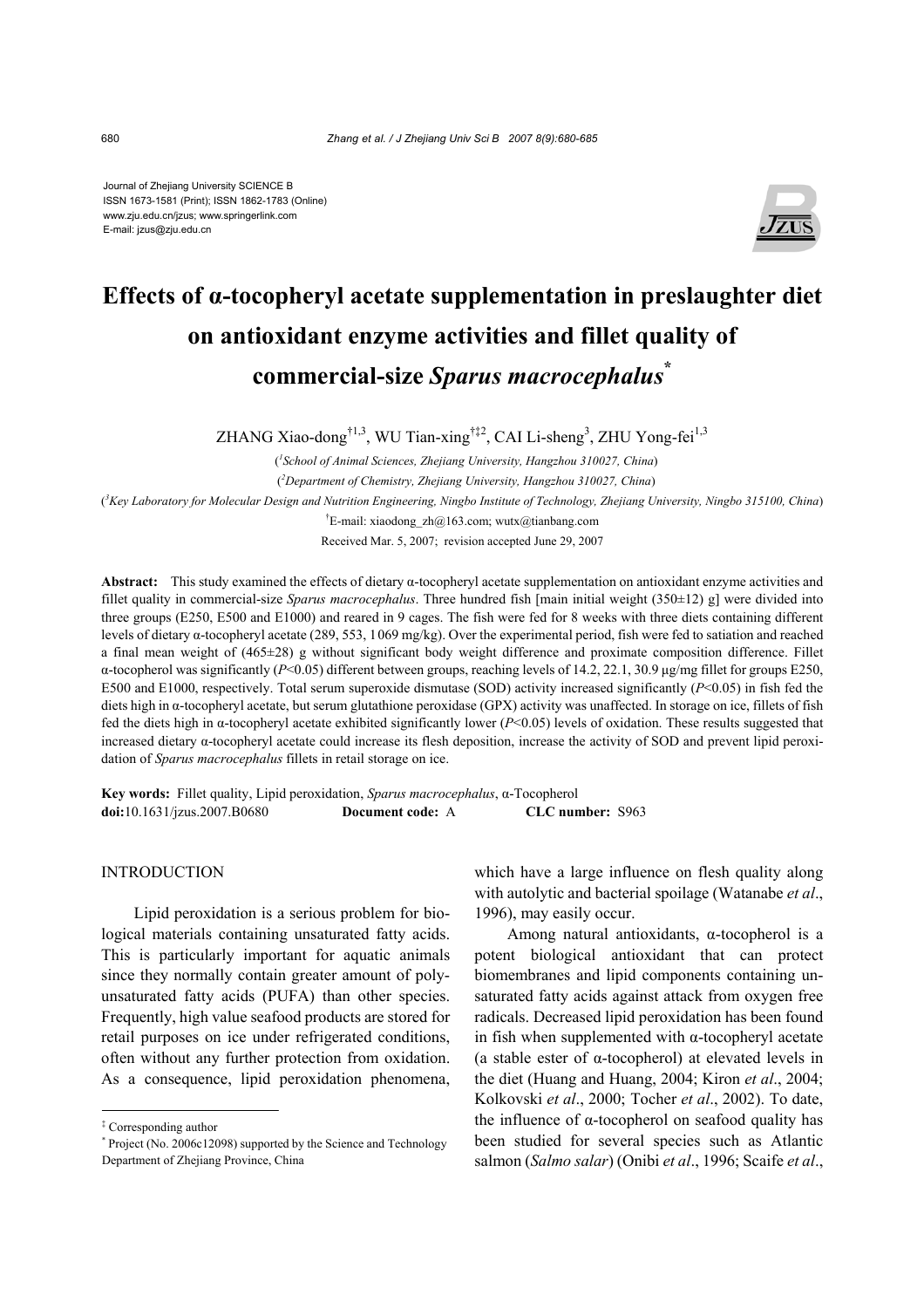Journal of Zhejiang University SCIENCE B ISSN 1673-1581 (Print); ISSN 1862-1783 (Online) www.zju.edu.cn/jzus; www.springerlink.com E-mail: jzus@zju.edu.cn



# **Effects of α-tocopheryl acetate supplementation in preslaughter diet on antioxidant enzyme activities and fillet quality of commercial-size** *Sparus macrocephalus***\***

ZHANG Xiao-dong<sup>†1,3</sup>, WU Tian-xing<sup>†‡2</sup>, CAI Li-sheng<sup>3</sup>, ZHU Yong-fei<sup>1,3</sup>

( *1 School of Animal Sciences, Zhejiang University, Hangzhou 310027, China*) ( *2 Department of Chemistry, Zhejiang University, Hangzhou 310027, China*)

( *3 Key Laboratory for Molecular Design and Nutrition Engineering, Ningbo Institute of Technology, Zhejiang University, Ningbo 315100, China*)

<sup>†</sup>E-mail: xiaodong zh@163.com; wutx@tianbang.com Received Mar. 5, 2007; revision accepted June 29, 2007

**Abstract:** This study examined the effects of dietary α-tocopheryl acetate supplementation on antioxidant enzyme activities and fillet quality in commercial-size *Sparus macrocephalus*. Three hundred fish [main initial weight (350±12) g] were divided into three groups (E250, E500 and E1000) and reared in 9 cages. The fish were fed for 8 weeks with three diets containing different levels of dietary α-tocopheryl acetate (289, 553, 1069 mg/kg). Over the experimental period, fish were fed to satiation and reached a final mean weight of (465±28) g without significant body weight difference and proximate composition difference. Fillet α-tocopherol was significantly (*P*<0.05) different between groups, reaching levels of 14.2, 22.1, 30.9 µg/mg fillet for groups E250, E500 and E1000, respectively. Total serum superoxide dismutase (SOD) activity increased significantly (*P*<0.05) in fish fed the diets high in α-tocopheryl acetate, but serum glutathione peroxidase (GPX) activity was unaffected. In storage on ice, fillets of fish fed the diets high in α-tocopheryl acetate exhibited significantly lower (*P*<0.05) levels of oxidation. These results suggested that increased dietary α-tocopheryl acetate could increase its flesh deposition, increase the activity of SOD and prevent lipid peroxidation of *Sparus macrocephalus* fillets in retail storage on ice.

**Key words:** Fillet quality, Lipid peroxidation, *Sparus macrocephalus*, α-Tocopherol **doi:**10.1631/jzus.2007.B0680 **Document code:** A **CLC number:** S963

## INTRODUCTION

Lipid peroxidation is a serious problem for biological materials containing unsaturated fatty acids. This is particularly important for aquatic animals since they normally contain greater amount of polyunsaturated fatty acids (PUFA) than other species. Frequently, high value seafood products are stored for retail purposes on ice under refrigerated conditions, often without any further protection from oxidation. As a consequence, lipid peroxidation phenomena, which have a large influence on flesh quality along with autolytic and bacterial spoilage (Watanabe *et al*., 1996), may easily occur.

Among natural antioxidants, α-tocopherol is a potent biological antioxidant that can protect biomembranes and lipid components containing unsaturated fatty acids against attack from oxygen free radicals. Decreased lipid peroxidation has been found in fish when supplemented with α-tocopheryl acetate (a stable ester of α-tocopherol) at elevated levels in the diet (Huang and Huang, 2004; Kiron *et al*., 2004; Kolkovski *et al*., 2000; Tocher *et al*., 2002). To date, the influence of α-tocopherol on seafood quality has been studied for several species such as Atlantic salmon (*Salmo salar*) (Onibi *et al*., 1996; Scaife *et al*.,

<sup>‡</sup> Corresponding author

<sup>\*</sup> Project (No. 2006c12098) supported by the Science and Technology Department of Zhejiang Province, China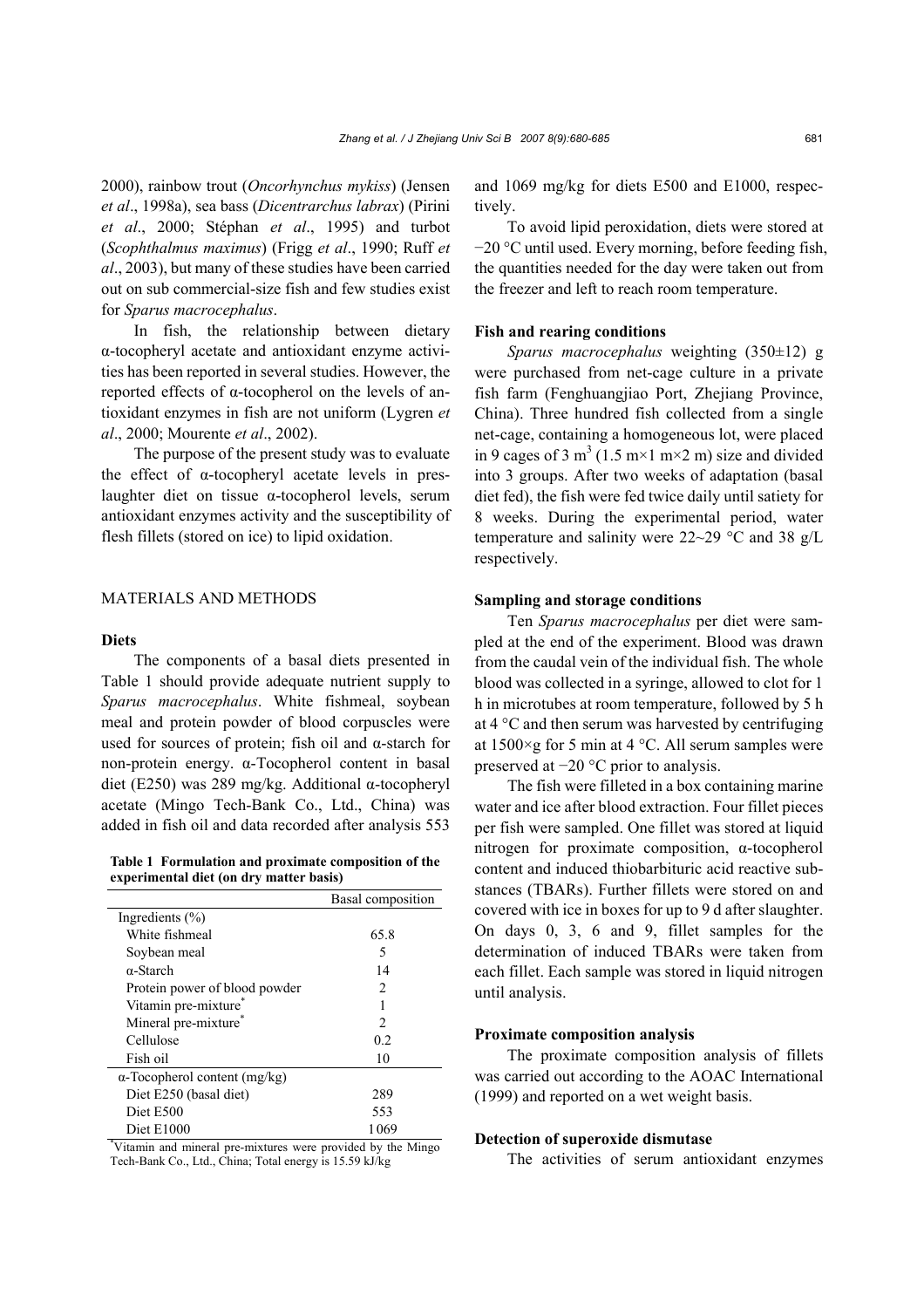2000), rainbow trout (*Oncorhynchus mykiss*) (Jensen *et al*., 1998a), sea bass (*Dicentrarchus labrax*) (Pirini *et al*., 2000; Stéphan *et al*., 1995) and turbot (*Scophthalmus maximus*) (Frigg *et al*., 1990; Ruff *et al*., 2003), but many of these studies have been carried out on sub commercial-size fish and few studies exist for *Sparus macrocephalus*.

In fish, the relationship between dietary α-tocopheryl acetate and antioxidant enzyme activities has been reported in several studies. However, the reported effects of α-tocopherol on the levels of antioxidant enzymes in fish are not uniform (Lygren *et al*., 2000; Mourente *et al*., 2002).

The purpose of the present study was to evaluate the effect of α-tocopheryl acetate levels in preslaughter diet on tissue α-tocopherol levels, serum antioxidant enzymes activity and the susceptibility of flesh fillets (stored on ice) to lipid oxidation.

## MATERIALS AND METHODS

## **Diets**

The components of a basal diets presented in Table 1 should provide adequate nutrient supply to *Sparus macrocephalus*. White fishmeal, soybean meal and protein powder of blood corpuscles were used for sources of protein; fish oil and  $\alpha$ -starch for non-protein energy. α-Tocopherol content in basal diet (E250) was 289 mg/kg. Additional α-tocopheryl acetate (Mingo Tech-Bank Co., Ltd., China) was added in fish oil and data recorded after analysis 553

**Table 1 Formulation and proximate composition of the experimental diet (on dry matter basis)**

|                                                             | Basal composition |
|-------------------------------------------------------------|-------------------|
| Ingredients $(\% )$                                         |                   |
| White fishmeal                                              | 65.8              |
| Soybean meal                                                | 5                 |
| $\alpha$ -Starch                                            | 14                |
| Protein power of blood powder                               | 2                 |
| Vitamin pre-mixture                                         |                   |
| Mineral pre-mixture                                         | 2                 |
| Cellulose                                                   | 0.2               |
| Fish oil                                                    | 10                |
| $\alpha$ -Tocopherol content (mg/kg)                        |                   |
| Diet E250 (basal diet)                                      | 289               |
| Diet E500                                                   | 553               |
| Diet E1000                                                  | 1069              |
| Vitamin and mineral pre-mixtures were provided by the Mingo |                   |

Tech-Bank Co., Ltd., China; Total energy is 15.59 kJ/kg

and 1069 mg/kg for diets E500 and E1000, respectively.

To avoid lipid peroxidation, diets were stored at −20 °C until used. Every morning, before feeding fish, the quantities needed for the day were taken out from the freezer and left to reach room temperature.

## **Fish and rearing conditions**

*Sparus macrocephalus* weighting (350±12) g were purchased from net-cage culture in a private fish farm (Fenghuangjiao Port, Zhejiang Province, China). Three hundred fish collected from a single net-cage, containing a homogeneous lot, were placed in 9 cages of 3 m<sup>3</sup> (1.5 m×1 m×2 m) size and divided into 3 groups. After two weeks of adaptation (basal diet fed), the fish were fed twice daily until satiety for 8 weeks. During the experimental period, water temperature and salinity were 22~29 °C and 38 g/L respectively.

## **Sampling and storage conditions**

Ten *Sparus macrocephalus* per diet were sampled at the end of the experiment. Blood was drawn from the caudal vein of the individual fish. The whole blood was collected in a syringe, allowed to clot for 1 h in microtubes at room temperature, followed by 5 h at 4 °C and then serum was harvested by centrifuging at  $1500 \times g$  for 5 min at 4 °C. All serum samples were preserved at −20 °C prior to analysis.

The fish were filleted in a box containing marine water and ice after blood extraction. Four fillet pieces per fish were sampled. One fillet was stored at liquid nitrogen for proximate composition, α-tocopherol content and induced thiobarbituric acid reactive substances (TBARs). Further fillets were stored on and covered with ice in boxes for up to 9 d after slaughter. On days 0, 3, 6 and 9, fillet samples for the determination of induced TBARs were taken from each fillet. Each sample was stored in liquid nitrogen until analysis.

## **Proximate composition analysis**

The proximate composition analysis of fillets was carried out according to the AOAC International (1999) and reported on a wet weight basis.

#### **Detection of superoxide dismutase**

The activities of serum antioxidant enzymes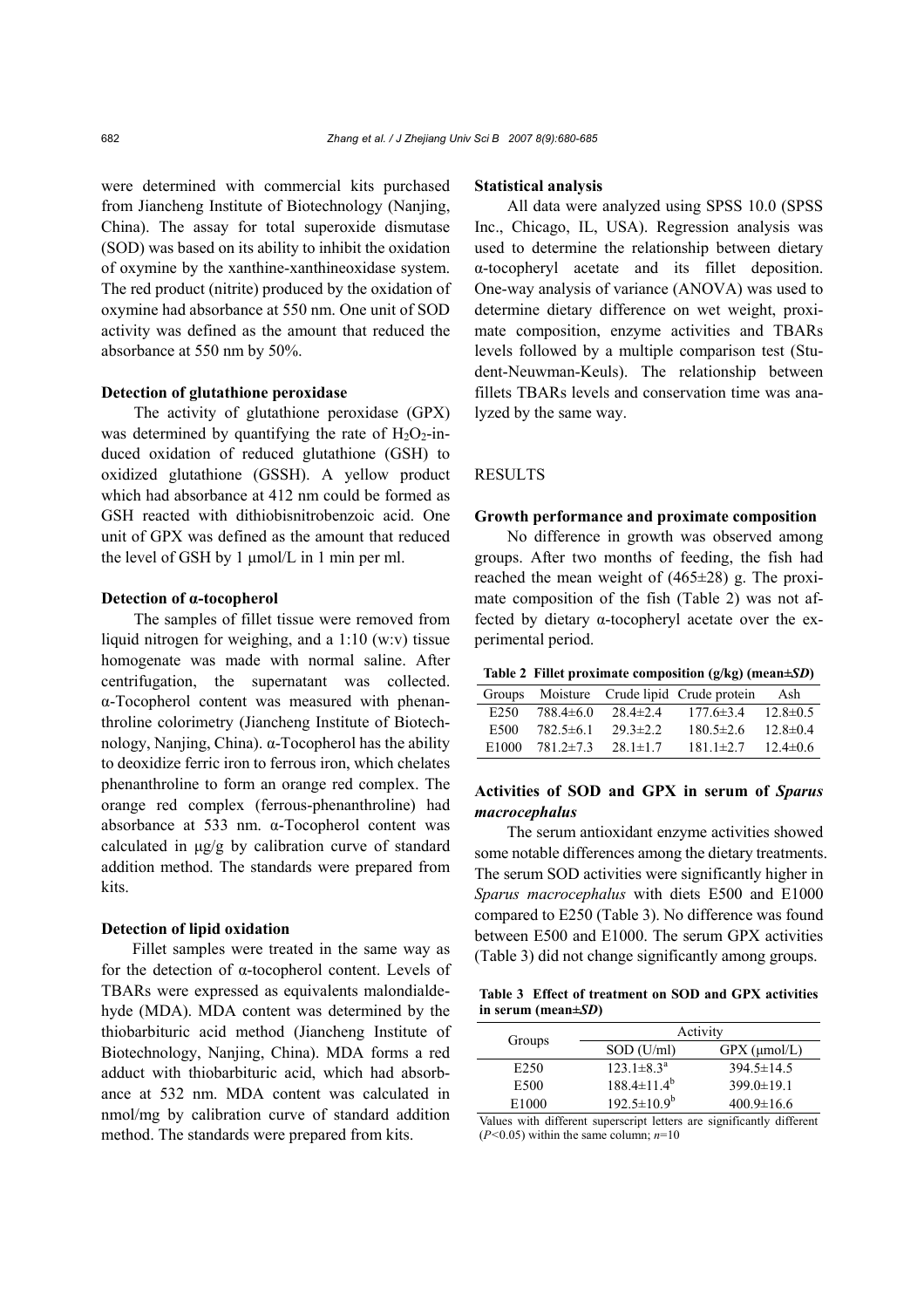were determined with commercial kits purchased from Jiancheng Institute of Biotechnology (Nanjing, China). The assay for total superoxide dismutase (SOD) was based on its ability to inhibit the oxidation of oxymine by the xanthine-xanthineoxidase system. The red product (nitrite) produced by the oxidation of oxymine had absorbance at 550 nm. One unit of SOD activity was defined as the amount that reduced the absorbance at 550 nm by 50%.

#### **Detection of glutathione peroxidase**

The activity of glutathione peroxidase (GPX) was determined by quantifying the rate of  $H_2O_2$ -induced oxidation of reduced glutathione (GSH) to oxidized glutathione (GSSH). A yellow product which had absorbance at 412 nm could be formed as GSH reacted with dithiobisnitrobenzoic acid. One unit of GPX was defined as the amount that reduced the level of GSH by 1 µmol/L in 1 min per ml.

#### **Detection of α-tocopherol**

The samples of fillet tissue were removed from liquid nitrogen for weighing, and a  $1:10$  (w:v) tissue homogenate was made with normal saline. After centrifugation, the supernatant was collected. α-Tocopherol content was measured with phenanthroline colorimetry (Jiancheng Institute of Biotechnology, Nanjing, China). α-Tocopherol has the ability to deoxidize ferric iron to ferrous iron, which chelates phenanthroline to form an orange red complex. The orange red complex (ferrous-phenanthroline) had absorbance at 533 nm. α-Tocopherol content was calculated in µg/g by calibration curve of standard addition method. The standards were prepared from kits.

## **Detection of lipid oxidation**

Fillet samples were treated in the same way as for the detection of α-tocopherol content. Levels of TBARs were expressed as equivalents malondialdehyde (MDA). MDA content was determined by the thiobarbituric acid method (Jiancheng Institute of Biotechnology, Nanjing, China). MDA forms a red adduct with thiobarbituric acid, which had absorbance at 532 nm. MDA content was calculated in nmol/mg by calibration curve of standard addition method. The standards were prepared from kits.

## **Statistical analysis**

All data were analyzed using SPSS 10.0 (SPSS Inc., Chicago, IL, USA). Regression analysis was used to determine the relationship between dietary α-tocopheryl acetate and its fillet deposition. One-way analysis of variance (ANOVA) was used to determine dietary difference on wet weight, proximate composition, enzyme activities and TBARs levels followed by a multiple comparison test (Student-Neuwman-Keuls). The relationship between fillets TBARs levels and conservation time was analyzed by the same way.

## **RESULTS**

## **Growth performance and proximate composition**

No difference in growth was observed among groups. After two months of feeding, the fish had reached the mean weight of (465±28) g. The proximate composition of the fish (Table 2) was not affected by dietary α-tocopheryl acetate over the experimental period.

**Table 2 Fillet proximate composition (g/kg) (mean±***SD***)**

| Groups           |                 |                | Moisture Crude lipid Crude protein | Ash            |
|------------------|-----------------|----------------|------------------------------------|----------------|
| E <sub>250</sub> | $788.4\pm 6.0$  | $28.4 \pm 2.4$ | $177.6 \pm 3.4$                    | $12.8 \pm 0.5$ |
| E500             | $782.5 \pm 6.1$ | $293\pm22$     | $180.5 \pm 2.6$                    | 12.8 $\pm$ 0.4 |
| E1000            | $781.2 \pm 7.3$ | $281 \pm 17$   | $181.1 \pm 2.7$                    | $12.4 \pm 0.6$ |

# **Activities of SOD and GPX in serum of** *Sparus macrocephalus*

The serum antioxidant enzyme activities showed some notable differences among the dietary treatments. The serum SOD activities were significantly higher in *Sparus macrocephalus* with diets E500 and E1000 compared to E250 (Table 3). No difference was found between E500 and E1000. The serum GPX activities (Table 3) did not change significantly among groups.

**Table 3 Effect of treatment on SOD and GPX activities in serum (mean±***SD***)**

| Groups           | Activity                |                      |  |
|------------------|-------------------------|----------------------|--|
|                  | $SOD$ (U/ml)            | $GPX$ ( $\mu$ mol/L) |  |
| E <sub>250</sub> | $123.1 \pm 8.3^{\circ}$ | $394.5 \pm 14.5$     |  |
| E500             | $188.4 \pm 11.4^b$      | $399.0 \pm 19.1$     |  |
| E1000            | $192.5 \pm 10.9^b$      | $400.9 \pm 16.6$     |  |

Values with different superscript letters are significantly different  $(P<0.05)$  within the same column;  $n=10$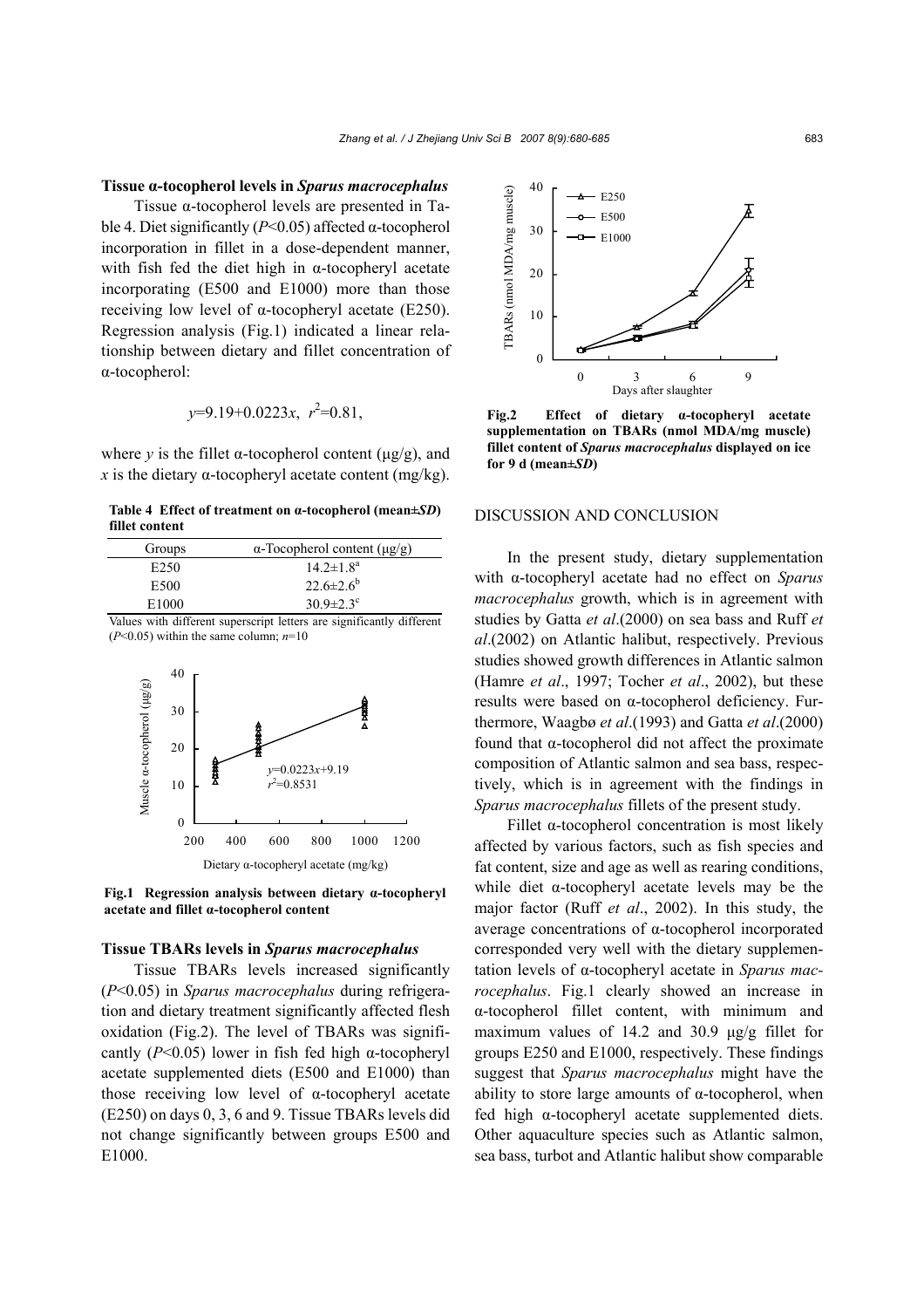#### **Tissue α-tocopherol levels in** *Sparus macrocephalus*

Tissue α-tocopherol levels are presented in Table 4. Diet significantly (*P*<0.05) affected α-tocopherol incorporation in fillet in a dose-dependent manner, with fish fed the diet high in  $\alpha$ -tocopheryl acetate incorporating (E500 and E1000) more than those receiving low level of α-tocopheryl acetate (E250). Regression analysis (Fig.1) indicated a linear relationship between dietary and fillet concentration of α-tocopherol:

$$
y=9.19+0.0223x
$$
,  $r^2=0.81$ ,

where *y* is the fillet  $\alpha$ -tocopherol content ( $\mu$ g/g), and *x* is the dietary  $\alpha$ -tocopheryl acetate content (mg/kg).

**Table 4 Effect of treatment on α-tocopherol (mean±***SD***) fillet content**

| Groups            | $\alpha$ -Tocopherol content ( $\mu$ g/g)                  |  |  |
|-------------------|------------------------------------------------------------|--|--|
| E <sub>250</sub>  | $14.2 \pm 1.8^a$                                           |  |  |
| E500              | $22.6 \pm 2.6^b$                                           |  |  |
| E <sub>1000</sub> | $30.9 \pm 2.3$ <sup>c</sup>                                |  |  |
| <b>T 7 1</b>      | $\cdots$<br>1.00<br><b>Contract Structure</b><br>$\cdot$ 1 |  |  |

Values with different superscript letters are significantly different (*P*<0.05) within the same column; *n*=10



**Fig.1 Regression analysis between dietary α-tocopheryl acetate and fillet α-tocopherol content**

#### **Tissue TBARs levels in** *Sparus macrocephalus*

Tissue TBARs levels increased significantly (*P*<0.05) in *Sparus macrocephalus* during refrigeration and dietary treatment significantly affected flesh oxidation (Fig.2). The level of TBARs was significantly (*P*<0.05) lower in fish fed high α-tocopheryl acetate supplemented diets (E500 and E1000) than those receiving low level of α-tocopheryl acetate (E250) on days 0, 3, 6 and 9. Tissue TBARs levels did not change significantly between groups E500 and E1000.



**Fig.2 Effect of dietary α-tocopheryl acetate supplementation on TBARs (nmol MDA/mg muscle) fillet content of** *Sparus macrocephalus* **displayed on ice for 9 d (mean±***SD***)**

## DISCUSSION AND CONCLUSION

In the present study, dietary supplementation with α-tocopheryl acetate had no effect on *Sparus macrocephalus* growth, which is in agreement with studies by Gatta *et al*.(2000) on sea bass and Ruff *et al*.(2002) on Atlantic halibut, respectively. Previous studies showed growth differences in Atlantic salmon (Hamre *et al*., 1997; Tocher *et al*., 2002), but these results were based on α-tocopherol deficiency. Furthermore, Waagbø *et al*.(1993) and Gatta *et al*.(2000) found that α-tocopherol did not affect the proximate composition of Atlantic salmon and sea bass, respectively, which is in agreement with the findings in *Sparus macrocephalus* fillets of the present study.

Fillet α-tocopherol concentration is most likely affected by various factors, such as fish species and fat content, size and age as well as rearing conditions, while diet α-tocopheryl acetate levels may be the major factor (Ruff *et al*., 2002). In this study, the average concentrations of α-tocopherol incorporated corresponded very well with the dietary supplementation levels of α-tocopheryl acetate in *Sparus macrocephalus*. Fig.1 clearly showed an increase in α-tocopherol fillet content, with minimum and maximum values of 14.2 and 30.9  $\mu$ g/g fillet for groups E250 and E1000, respectively. These findings suggest that *Sparus macrocephalus* might have the ability to store large amounts of  $\alpha$ -tocopherol, when fed high α-tocopheryl acetate supplemented diets. Other aquaculture species such as Atlantic salmon, sea bass, turbot and Atlantic halibut show comparable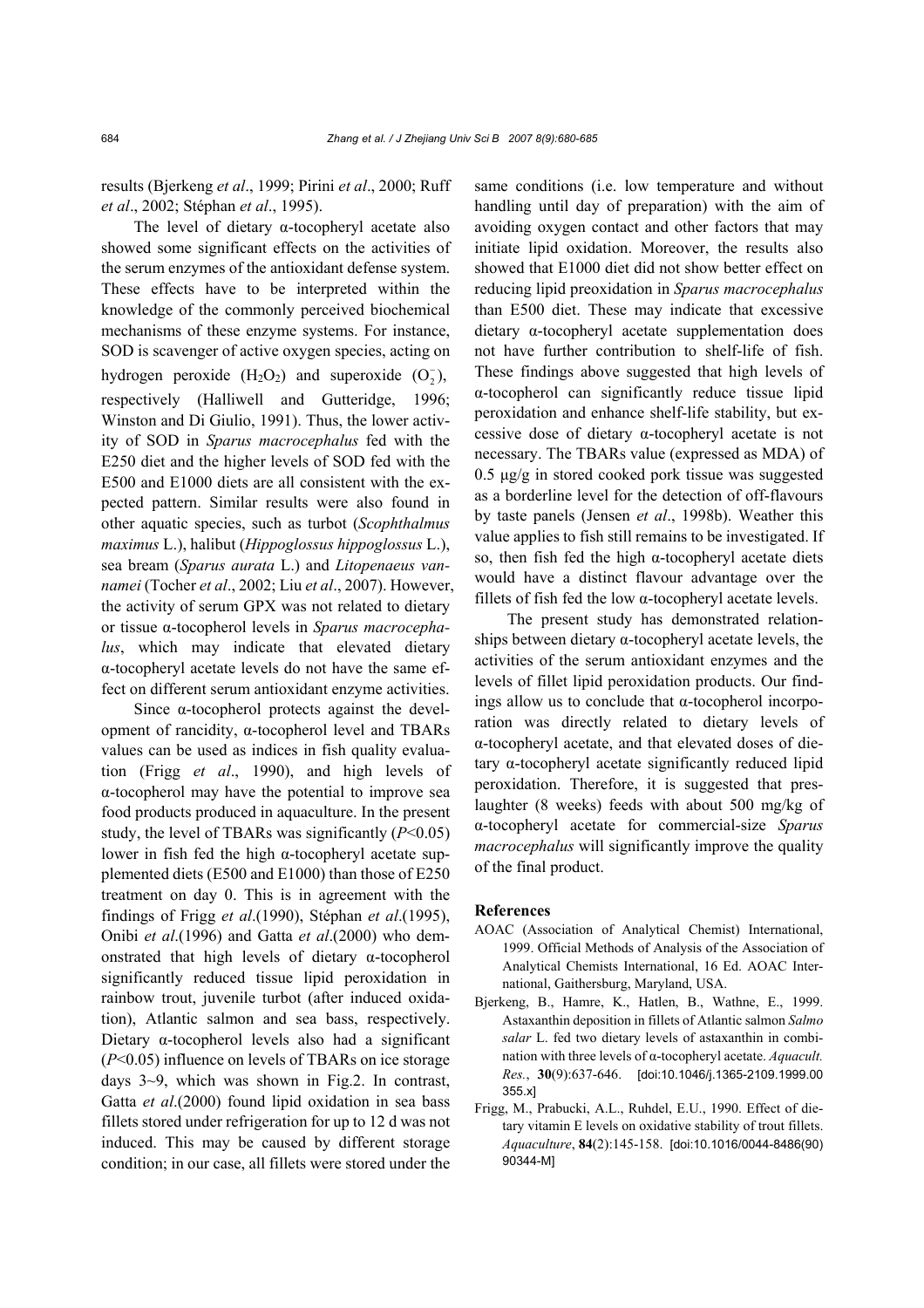results (Bjerkeng *et al*., 1999; Pirini *et al*., 2000; Ruff *et al*., 2002; Stéphan *et al*., 1995).

The level of dietary α-tocopheryl acetate also showed some significant effects on the activities of the serum enzymes of the antioxidant defense system. These effects have to be interpreted within the knowledge of the commonly perceived biochemical mechanisms of these enzyme systems. For instance, SOD is scavenger of active oxygen species, acting on hydrogen peroxide  $(H_2O_2)$  and superoxide  $(O_2^-)$ , respectively (Halliwell and Gutteridge, 1996; Winston and Di Giulio, 1991). Thus, the lower activity of SOD in *Sparus macrocephalus* fed with the E250 diet and the higher levels of SOD fed with the E500 and E1000 diets are all consistent with the expected pattern. Similar results were also found in other aquatic species, such as turbot (*Scophthalmus maximus* L.), halibut (*Hippoglossus hippoglossus* L.), sea bream (*Sparus aurata* L.) and *Litopenaeus vannamei* (Tocher *et al*., 2002; Liu *et al*., 2007). However, the activity of serum GPX was not related to dietary or tissue α-tocopherol levels in *Sparus macrocephalus*, which may indicate that elevated dietary α-tocopheryl acetate levels do not have the same effect on different serum antioxidant enzyme activities.

Since α-tocopherol protects against the development of rancidity, α-tocopherol level and TBARs values can be used as indices in fish quality evaluation (Frigg *et al*., 1990), and high levels of α-tocopherol may have the potential to improve sea food products produced in aquaculture. In the present study, the level of TBARs was significantly (*P*<0.05) lower in fish fed the high α-tocopheryl acetate supplemented diets (E500 and E1000) than those of E250 treatment on day 0. This is in agreement with the findings of Frigg *et al*.(1990), Stéphan *et al*.(1995), Onibi *et al*.(1996) and Gatta *et al*.(2000) who demonstrated that high levels of dietary α-tocopherol significantly reduced tissue lipid peroxidation in rainbow trout, juvenile turbot (after induced oxidation), Atlantic salmon and sea bass, respectively. Dietary α-tocopherol levels also had a significant (*P*<0.05) influence on levels of TBARs on ice storage days 3~9, which was shown in Fig.2. In contrast, Gatta *et al*.(2000) found lipid oxidation in sea bass fillets stored under refrigeration for up to 12 d was not induced. This may be caused by different storage condition; in our case, all fillets were stored under the same conditions (i.e. low temperature and without handling until day of preparation) with the aim of avoiding oxygen contact and other factors that may initiate lipid oxidation. Moreover, the results also showed that E1000 diet did not show better effect on reducing lipid preoxidation in *Sparus macrocephalus* than E500 diet. These may indicate that excessive dietary α-tocopheryl acetate supplementation does not have further contribution to shelf-life of fish. These findings above suggested that high levels of α-tocopherol can significantly reduce tissue lipid peroxidation and enhance shelf-life stability, but excessive dose of dietary α-tocopheryl acetate is not necessary. The TBARs value (expressed as MDA) of  $0.5 \mu g/g$  in stored cooked pork tissue was suggested as a borderline level for the detection of off-flavours by taste panels (Jensen *et al*., 1998b). Weather this value applies to fish still remains to be investigated. If so, then fish fed the high α-tocopheryl acetate diets would have a distinct flavour advantage over the fillets of fish fed the low α-tocopheryl acetate levels.

The present study has demonstrated relationships between dietary α-tocopheryl acetate levels, the activities of the serum antioxidant enzymes and the levels of fillet lipid peroxidation products. Our findings allow us to conclude that α-tocopherol incorporation was directly related to dietary levels of α-tocopheryl acetate, and that elevated doses of dietary α-tocopheryl acetate significantly reduced lipid peroxidation. Therefore, it is suggested that preslaughter (8 weeks) feeds with about 500 mg/kg of α-tocopheryl acetate for commercial-size *Sparus macrocephalus* will significantly improve the quality of the final product.

#### **References**

- AOAC (Association of Analytical Chemist) International, 1999. Official Methods of Analysis of the Association of Analytical Chemists International, 16 Ed. AOAC International, Gaithersburg, Maryland, USA.
- Bjerkeng, B., Hamre, K., Hatlen, B., Wathne, E., 1999. Astaxanthin deposition in fillets of Atlantic salmon *Salmo salar* L. fed two dietary levels of astaxanthin in combination with three levels of α-tocopheryl acetate. *Aquacult. Res.*, **30**(9):637-646. [doi:10.1046/j.1365-2109.1999.00 355.x]
- Frigg, M., Prabucki, A.L., Ruhdel, E.U., 1990. Effect of dietary vitamin E levels on oxidative stability of trout fillets. *Aquaculture*, **84**(2):145-158. [doi:10.1016/0044-8486(90) 90344-M]